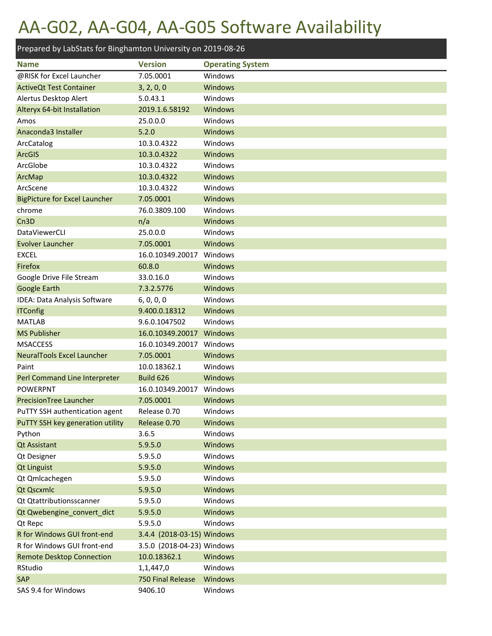### AA-G02, AA-G04, AA-G05 Software Availability

| Prepared by LabStats for Binghamton University on 2019-08-26 |                                |                         |
|--------------------------------------------------------------|--------------------------------|-------------------------|
| <b>Name</b>                                                  | <b>Version</b>                 | <b>Operating System</b> |
| @RISK for Excel Launcher                                     | 7.05.0001                      | Windows                 |
| <b>ActiveQt Test Container</b>                               | 3, 2, 0, 0                     | <b>Windows</b>          |
| Alertus Desktop Alert                                        | 5.0.43.1                       | Windows                 |
| Alteryx 64-bit Installation                                  | 2019.1.6.58192                 | <b>Windows</b>          |
| Amos                                                         | 25.0.0.0                       | Windows                 |
| Anaconda3 Installer                                          | 5.2.0                          | <b>Windows</b>          |
| ArcCatalog                                                   | 10.3.0.4322                    | Windows                 |
| ArcGIS                                                       | 10.3.0.4322                    | Windows                 |
| ArcGlobe                                                     | 10.3.0.4322                    | Windows                 |
| ArcMap                                                       | 10.3.0.4322                    | Windows                 |
| ArcScene                                                     | 10.3.0.4322                    | Windows                 |
| <b>BigPicture for Excel Launcher</b>                         | 7.05.0001                      | <b>Windows</b>          |
| chrome                                                       | 76.0.3809.100                  | Windows                 |
| Cn <sub>3</sub> D                                            | n/a                            | Windows                 |
| <b>DataViewerCLI</b>                                         | 25.0.0.0                       | Windows                 |
| <b>Evolver Launcher</b>                                      | 7.05.0001                      | Windows                 |
| <b>EXCEL</b>                                                 | 16.0.10349.20017               | Windows                 |
| Firefox                                                      | 60.8.0                         | <b>Windows</b>          |
| Google Drive File Stream                                     | 33.0.16.0                      | Windows                 |
| <b>Google Earth</b>                                          | 7.3.2.5776                     | <b>Windows</b>          |
| IDEA: Data Analysis Software                                 | 6, 0, 0, 0                     | Windows                 |
| <b>ITConfig</b>                                              | 9.400.0.18312                  | <b>Windows</b>          |
| <b>MATLAB</b>                                                | 9.6.0.1047502                  | Windows                 |
| <b>MS Publisher</b>                                          | 16.0.10349.20017               | Windows                 |
| <b>MSACCESS</b>                                              | 16.0.10349.20017               | Windows                 |
| <b>NeuralTools Excel Launcher</b>                            | 7.05.0001                      | <b>Windows</b>          |
| Paint                                                        | 10.0.18362.1                   | Windows                 |
| Perl Command Line Interpreter                                | Build 626                      | Windows                 |
| <b>POWERPNT</b>                                              | 16.0.10349.20017               | Windows                 |
| PrecisionTree Launcher                                       | 7.05.0001                      | Windows                 |
| PuTTY SSH authentication agent                               | Release 0.70                   | Windows                 |
| PuTTY SSH key generation utility                             | Release 0.70                   | Windows                 |
| Python                                                       | 3.6.5                          | Windows                 |
| <b>Qt Assistant</b>                                          | 5.9.5.0                        | Windows                 |
| <b>Qt Designer</b>                                           | 5.9.5.0                        | Windows                 |
| <b>Qt Linguist</b>                                           | 5.9.5.0                        | Windows                 |
| Qt Qmlcachegen                                               | 5.9.5.0                        | Windows                 |
| Qt Qscxmlc                                                   | 5.9.5.0                        | Windows                 |
| Qt Qtattributionsscanner                                     | 5.9.5.0                        | Windows                 |
| Qt Qwebengine_convert_dict                                   | 5.9.5.0                        | Windows                 |
| Qt Repc                                                      | 5.9.5.0                        | Windows                 |
| R for Windows GUI front-end                                  | 3.4.4 (2018-03-15) Windows     |                         |
| R for Windows GUI front-end                                  | 3.5.0 (2018-04-23) Windows     |                         |
| <b>Remote Desktop Connection</b>                             | 10.0.18362.1                   | Windows                 |
| RStudio<br>SAP                                               | 1,1,447,0<br>750 Final Release | Windows<br>Windows      |
| SAS 9.4 for Windows                                          | 9406.10                        | Windows                 |
|                                                              |                                |                         |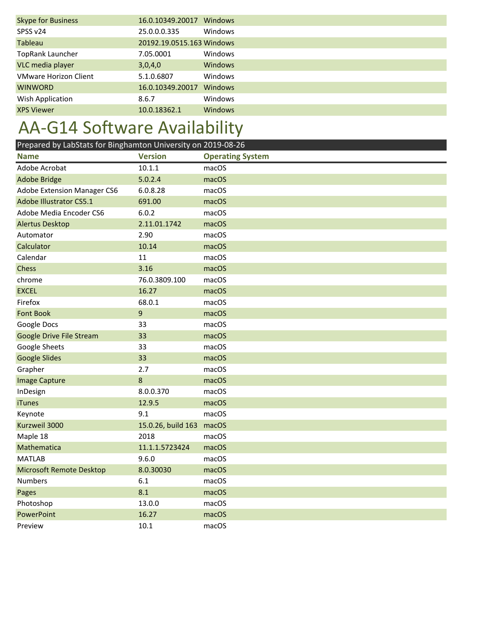| <b>Skype for Business</b>    | 16.0.10349.20017          | Windows        |
|------------------------------|---------------------------|----------------|
| SPSS v24                     | 25.0.0.0.335              | Windows        |
| Tableau                      | 20192.19.0515.163 Windows |                |
| TopRank Launcher             | 7.05.0001                 | Windows        |
| VLC media player             | 3,0,4,0                   | <b>Windows</b> |
| <b>VMware Horizon Client</b> | 5.1.0.6807                | Windows        |
| <b>WINWORD</b>               | 16.0.10349.20017          | <b>Windows</b> |
| Wish Application             | 8.6.7                     | Windows        |
| <b>XPS Viewer</b>            | 10.0.18362.1              | <b>Windows</b> |

# AA-G14 Software Availability

| Prepared by LabStats for Binghamton University on 2019-08-26 |                    |                         |
|--------------------------------------------------------------|--------------------|-------------------------|
| <b>Name</b>                                                  | <b>Version</b>     | <b>Operating System</b> |
| Adobe Acrobat                                                | 10.1.1             | macOS                   |
| <b>Adobe Bridge</b>                                          | 5.0.2.4            | macOS                   |
| Adobe Extension Manager CS6                                  | 6.0.8.28           | macOS                   |
| <b>Adobe Illustrator CS5.1</b>                               | 691.00             | macOS                   |
| Adobe Media Encoder CS6                                      | 6.0.2              | macOS                   |
| <b>Alertus Desktop</b>                                       | 2.11.01.1742       | macOS                   |
| Automator                                                    | 2.90               | macOS                   |
| Calculator                                                   | 10.14              | macOS                   |
| Calendar                                                     | 11                 | macOS                   |
| Chess                                                        | 3.16               | macOS                   |
| chrome                                                       | 76.0.3809.100      | macOS                   |
| <b>EXCEL</b>                                                 | 16.27              | macOS                   |
| Firefox                                                      | 68.0.1             | macOS                   |
| <b>Font Book</b>                                             | 9                  | macOS                   |
| Google Docs                                                  | 33                 | macOS                   |
| Google Drive File Stream                                     | 33                 | macOS                   |
| Google Sheets                                                | 33                 | macOS                   |
| <b>Google Slides</b>                                         | 33                 | macOS                   |
| Grapher                                                      | 2.7                | macOS                   |
| <b>Image Capture</b>                                         | 8                  | macOS                   |
| InDesign                                                     | 8.0.0.370          | macOS                   |
| <b>iTunes</b>                                                | 12.9.5             | macOS                   |
| Keynote                                                      | 9.1                | macOS                   |
| Kurzweil 3000                                                | 15.0.26, build 163 | macOS                   |
| Maple 18                                                     | 2018               | macOS                   |
| Mathematica                                                  | 11.1.1.5723424     | macOS                   |
| <b>MATLAB</b>                                                | 9.6.0              | macOS                   |
| <b>Microsoft Remote Desktop</b>                              | 8.0.30030          | macOS                   |
| <b>Numbers</b>                                               | 6.1                | macOS                   |
| Pages                                                        | 8.1                | macOS                   |
| Photoshop                                                    | 13.0.0             | macOS                   |
| PowerPoint                                                   | 16.27              | macOS                   |
| Preview                                                      | 10.1               | macOS                   |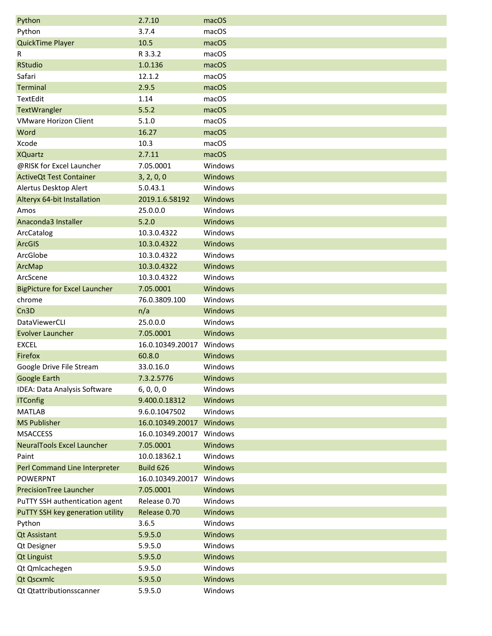| Python                               | 2.7.10                   | macOS   |
|--------------------------------------|--------------------------|---------|
| Python                               | 3.7.4                    | macOS   |
| QuickTime Player                     | 10.5                     | macOS   |
| R                                    | R 3.3.2                  | macOS   |
| <b>RStudio</b>                       | 1.0.136                  | macOS   |
| Safari                               | 12.1.2                   | macOS   |
| <b>Terminal</b>                      | 2.9.5                    | macOS   |
| TextEdit                             | 1.14                     | macOS   |
| <b>TextWrangler</b>                  | 5.5.2                    | macOS   |
| <b>VMware Horizon Client</b>         | 5.1.0                    | macOS   |
| Word                                 | 16.27                    | macOS   |
| Xcode                                | 10.3                     | macOS   |
| <b>XQuartz</b>                       | 2.7.11                   | macOS   |
| @RISK for Excel Launcher             | 7.05.0001                | Windows |
| <b>ActiveQt Test Container</b>       | 3, 2, 0, 0               | Windows |
| Alertus Desktop Alert                | 5.0.43.1                 | Windows |
| Alteryx 64-bit Installation          | 2019.1.6.58192           | Windows |
| Amos                                 | 25.0.0.0                 | Windows |
| Anaconda3 Installer                  | 5.2.0                    | Windows |
| ArcCatalog                           | 10.3.0.4322              | Windows |
| <b>ArcGIS</b>                        | 10.3.0.4322              | Windows |
| ArcGlobe                             | 10.3.0.4322              | Windows |
| ArcMap                               | 10.3.0.4322              | Windows |
| ArcScene                             | 10.3.0.4322              | Windows |
| <b>BigPicture for Excel Launcher</b> | 7.05.0001                | Windows |
| chrome                               | 76.0.3809.100            | Windows |
| Cn <sub>3</sub> D                    | n/a                      | Windows |
| DataViewerCLI                        | 25.0.0.0                 | Windows |
| <b>Evolver Launcher</b>              | 7.05.0001                | Windows |
| <b>EXCEL</b>                         | 16.0.10349.20017         | Windows |
| Firefox                              | 60.8.0                   | Windows |
| Google Drive File Stream             | 33.0.16.0                | Windows |
| <b>Google Earth</b>                  | 7.3.2.5776               | Windows |
| IDEA: Data Analysis Software         | 6, 0, 0, 0               | Windows |
| <b>ITConfig</b>                      | 9.400.0.18312            | Windows |
| <b>MATLAB</b>                        | 9.6.0.1047502            | Windows |
| <b>MS Publisher</b>                  | 16.0.10349.20017 Windows |         |
| <b>MSACCESS</b>                      | 16.0.10349.20017         | Windows |
| <b>NeuralTools Excel Launcher</b>    | 7.05.0001                | Windows |
| Paint                                | 10.0.18362.1             | Windows |
| Perl Command Line Interpreter        | Build 626                | Windows |
| <b>POWERPNT</b>                      | 16.0.10349.20017         | Windows |
| <b>PrecisionTree Launcher</b>        | 7.05.0001                | Windows |
| PuTTY SSH authentication agent       | Release 0.70             | Windows |
| PuTTY SSH key generation utility     | Release 0.70             | Windows |
| Python                               | 3.6.5                    | Windows |
| <b>Qt Assistant</b>                  | 5.9.5.0                  | Windows |
| Qt Designer                          | 5.9.5.0                  | Windows |
| <b>Qt Linguist</b>                   | 5.9.5.0                  | Windows |
| Qt Qmlcachegen                       | 5.9.5.0                  | Windows |
| Qt Qscxmlc                           | 5.9.5.0                  | Windows |
| Qt Qtattributionsscanner             | 5.9.5.0                  | Windows |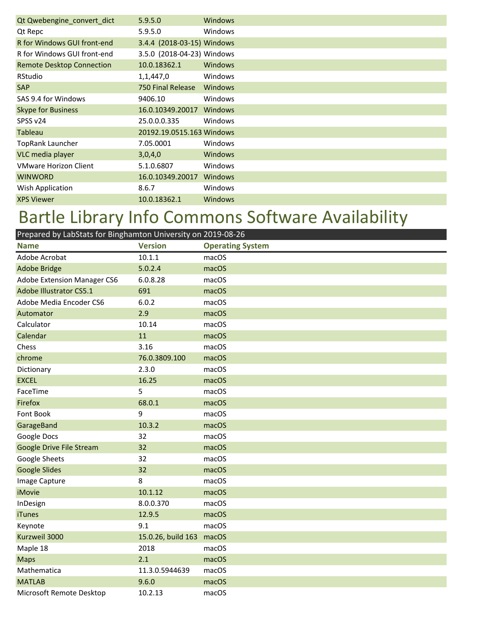| Qt Qwebengine_convert_dict       | 5.9.5.0                    | Windows        |  |
|----------------------------------|----------------------------|----------------|--|
| Qt Repc                          | 5.9.5.0                    | Windows        |  |
| R for Windows GUI front-end      | 3.4.4 (2018-03-15) Windows |                |  |
| R for Windows GUI front-end      | 3.5.0 (2018-04-23) Windows |                |  |
| <b>Remote Desktop Connection</b> | 10.0.18362.1               | <b>Windows</b> |  |
| RStudio                          | 1,1,447,0                  | Windows        |  |
| <b>SAP</b>                       | <b>750 Final Release</b>   | <b>Windows</b> |  |
| SAS 9.4 for Windows              | 9406.10                    | Windows        |  |
| <b>Skype for Business</b>        | 16.0.10349.20017           | Windows        |  |
| SPSS v24                         | 25.0.0.0.335               | Windows        |  |
| <b>Tableau</b>                   | 20192.19.0515.163 Windows  |                |  |
| <b>TopRank Launcher</b>          | 7.05.0001                  | Windows        |  |
| VLC media player                 | 3,0,4,0                    | <b>Windows</b> |  |
| <b>VMware Horizon Client</b>     | 5.1.0.6807                 | Windows        |  |
| <b>WINWORD</b>                   | 16.0.10349.20017           | <b>Windows</b> |  |
| Wish Application                 | 8.6.7                      | Windows        |  |
| <b>XPS Viewer</b>                | 10.0.18362.1               | <b>Windows</b> |  |

# Bartle Library Info Commons Software Availability

| Prepared by LabStats for Binghamton University on 2019-08-26 |                    |                         |
|--------------------------------------------------------------|--------------------|-------------------------|
| <b>Name</b>                                                  | <b>Version</b>     | <b>Operating System</b> |
| Adobe Acrobat                                                | 10.1.1             | macOS                   |
| <b>Adobe Bridge</b>                                          | 5.0.2.4            | macOS                   |
| Adobe Extension Manager CS6                                  | 6.0.8.28           | macOS                   |
| <b>Adobe Illustrator CS5.1</b>                               | 691                | macOS                   |
| Adobe Media Encoder CS6                                      | 6.0.2              | macOS                   |
| Automator                                                    | 2.9                | macOS                   |
| Calculator                                                   | 10.14              | macOS                   |
| Calendar                                                     | 11                 | macOS                   |
| Chess                                                        | 3.16               | macOS                   |
| chrome                                                       | 76.0.3809.100      | macOS                   |
| Dictionary                                                   | 2.3.0              | macOS                   |
| <b>EXCEL</b>                                                 | 16.25              | macOS                   |
| FaceTime                                                     | 5                  | macOS                   |
| Firefox                                                      | 68.0.1             | macOS                   |
| Font Book                                                    | 9                  | macOS                   |
| GarageBand                                                   | 10.3.2             | macOS                   |
| Google Docs                                                  | 32                 | macOS                   |
| <b>Google Drive File Stream</b>                              | 32                 | macOS                   |
| Google Sheets                                                | 32                 | macOS                   |
| <b>Google Slides</b>                                         | 32                 | macOS                   |
| Image Capture                                                | 8                  | macOS                   |
| <b>iMovie</b>                                                | 10.1.12            | macOS                   |
| InDesign                                                     | 8.0.0.370          | macOS                   |
| <b>iTunes</b>                                                | 12.9.5             | macOS                   |
| Keynote                                                      | 9.1                | macOS                   |
| Kurzweil 3000                                                | 15.0.26, build 163 | macOS                   |
| Maple 18                                                     | 2018               | macOS                   |
| <b>Maps</b>                                                  | 2.1                | macOS                   |
| Mathematica                                                  | 11.3.0.5944639     | macOS                   |
| <b>MATLAB</b>                                                | 9.6.0              | macOS                   |
| Microsoft Remote Desktop                                     | 10.2.13            | macOS                   |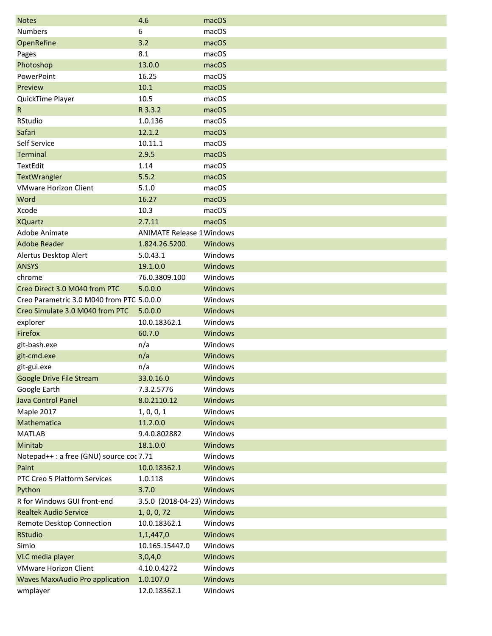| <b>Notes</b>                              | 4.6                              | macOS          |
|-------------------------------------------|----------------------------------|----------------|
| <b>Numbers</b>                            | 6                                | macOS          |
| OpenRefine                                | 3.2                              | macOS          |
| Pages                                     | 8.1                              | macOS          |
| Photoshop                                 | 13.0.0                           | macOS          |
| PowerPoint                                | 16.25                            | macOS          |
| Preview                                   | 10.1                             | macOS          |
| QuickTime Player                          | 10.5                             | macOS          |
| $\mathsf{R}$                              | R 3.3.2                          | macOS          |
| RStudio                                   | 1.0.136                          | macOS          |
| Safari                                    | 12.1.2                           | macOS          |
| Self Service                              | 10.11.1                          | macOS          |
| <b>Terminal</b>                           | 2.9.5                            | macOS          |
| TextEdit                                  | 1.14                             | macOS          |
| TextWrangler                              | 5.5.2                            | macOS          |
| <b>VMware Horizon Client</b>              | 5.1.0                            | macOS          |
| Word                                      | 16.27                            | macOS          |
| Xcode                                     | 10.3                             | macOS          |
| <b>XQuartz</b>                            | 2.7.11                           | macOS          |
| Adobe Animate                             | <b>ANIMATE Release 1 Windows</b> |                |
| <b>Adobe Reader</b>                       | 1.824.26.5200                    | Windows        |
| Alertus Desktop Alert                     | 5.0.43.1                         | Windows        |
| <b>ANSYS</b>                              | 19.1.0.0                         | Windows        |
| chrome                                    | 76.0.3809.100                    | Windows        |
| Creo Direct 3.0 M040 from PTC             | 5.0.0.0                          | Windows        |
| Creo Parametric 3.0 M040 from PTC 5.0.0.0 |                                  | Windows        |
| Creo Simulate 3.0 M040 from PTC           | 5.0.0.0                          | Windows        |
| explorer                                  | 10.0.18362.1                     | Windows        |
| Firefox                                   | 60.7.0                           | Windows        |
| git-bash.exe                              | n/a                              | Windows        |
| git-cmd.exe                               | n/a                              | Windows        |
| git-gui.exe                               | n/a                              | Windows        |
| Google Drive File Stream                  | 33.0.16.0                        | Windows        |
| Google Earth                              | 7.3.2.5776                       | Windows        |
| Java Control Panel                        | 8.0.2110.12                      | Windows        |
| Maple 2017                                | 1, 0, 0, 1                       | Windows        |
| Mathematica                               | 11.2.0.0                         | Windows        |
| <b>MATLAB</b>                             | 9.4.0.802882                     | Windows        |
| Minitab                                   | 18.1.0.0                         | Windows        |
| Notepad++: a free (GNU) source coc 7.71   |                                  | Windows        |
| Paint                                     | 10.0.18362.1                     | Windows        |
| PTC Creo 5 Platform Services              | 1.0.118                          | Windows        |
| Python                                    | 3.7.0                            | Windows        |
| R for Windows GUI front-end               | 3.5.0 (2018-04-23) Windows       |                |
| <b>Realtek Audio Service</b>              | 1, 0, 0, 72                      | Windows        |
| Remote Desktop Connection                 | 10.0.18362.1                     | Windows        |
| <b>RStudio</b>                            | 1,1,447,0                        | Windows        |
| Simio                                     | 10.165.15447.0                   | Windows        |
| VLC media player                          | 3,0,4,0                          | <b>Windows</b> |
| <b>VMware Horizon Client</b>              | 4.10.0.4272                      | Windows        |
| <b>Waves MaxxAudio Pro application</b>    | 1.0.107.0                        | Windows        |
| wmplayer                                  | 12.0.18362.1                     | Windows        |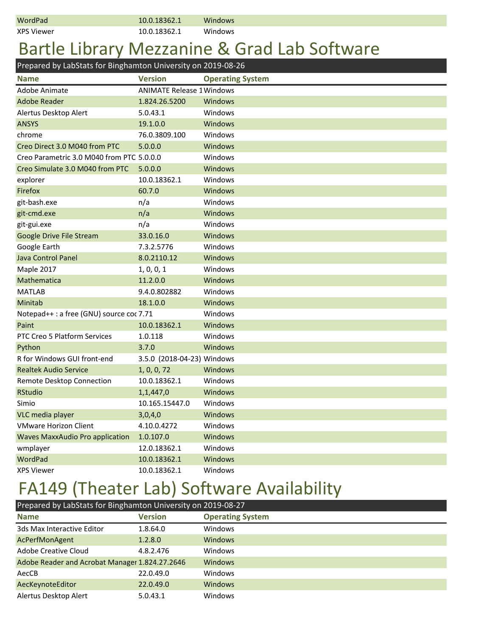|  | WordPad |
|--|---------|
|  |         |

XPS Viewer 10.0.18362.1 Windows

## Bartle Library Mezzanine & Grad Lab Software

**Name Version Operating System** Adobe Animate **Animate** ANIMATE Release 1 Windows Adobe Reader 1.824.26.5200 Windows Alertus Desktop Alert 5.0.43.1 Windows ANSYS 19.1.0.0 Windows chrome 76.0.3809.100 Windows Creo Direct 3.0 M040 from PTC 5.0.0.0 Windows Creo Parametric 3.0 M040 from PTC 5.0.0.0 Windows Creo Simulate 3.0 M040 from PTC 5.0.0.0 Windows explorer 10.0.18362.1 Windows Firefox 60.7.0 Windows git-bash.exe and m/a m/a Windows git-cmd.exe n/a m/a Windows git-gui.exe and many more in the Mindows Google Drive File Stream 33.0.16.0 Windows Google Earth 7.3.2.5776 Windows Java Control Panel **8.0.2110.12** Windows Maple 2017 1, 0, 0, 1 Windows Mathematica 11.2.0.0 Windows MATLAB 9.4.0.802882 Windows Minitab 18.1.0.0 Windows Notepad++ : a free (GNU) source coc 7.71 Windows Paint 20.0.18362.1 Windows PTC Creo 5 Platform Services 1.0.118 Windows Python 3.7.0 Windows R for Windows GUI front-end 3.5.0 (2018-04-23) Windows Realtek Audio Service 1, 0, 0, 72 Windows Remote Desktop Connection 10.0.18362.1 Windows RStudio 1,1,447,0 Windows Simio 10.165.15447.0 Windows VLC media player 3,0,4,0 Windows VMware Horizon Client **4.10.0.4272** Windows Waves MaxxAudio Pro application 1.0.107.0 Windows wmplayer 12.0.18362.1 Windows WordPad 10.0.18362.1 Windows XPS Viewer 10.0.18362.1 Windows Prepared by LabStats for Binghamton University on 2019-08-26

### FA149 (Theater Lab) Software Availability

| Prepared by LabStats for Binghamton University on 2019-08-27 |                |                         |  |
|--------------------------------------------------------------|----------------|-------------------------|--|
| <b>Name</b>                                                  | <b>Version</b> | <b>Operating System</b> |  |
| 3ds Max Interactive Editor                                   | 1.8.64.0       | Windows                 |  |
| AcPerfMonAgent                                               | 1.2.8.0        | <b>Windows</b>          |  |
| Adobe Creative Cloud                                         | 4.8.2.476      | Windows                 |  |
| Adobe Reader and Acrobat Manager 1.824.27.2646               |                | <b>Windows</b>          |  |
| AecCB                                                        | 22.0.49.0      | Windows                 |  |
| AecKeynoteEditor                                             | 22.0.49.0      | <b>Windows</b>          |  |
| Alertus Desktop Alert                                        | 5.0.43.1       | Windows                 |  |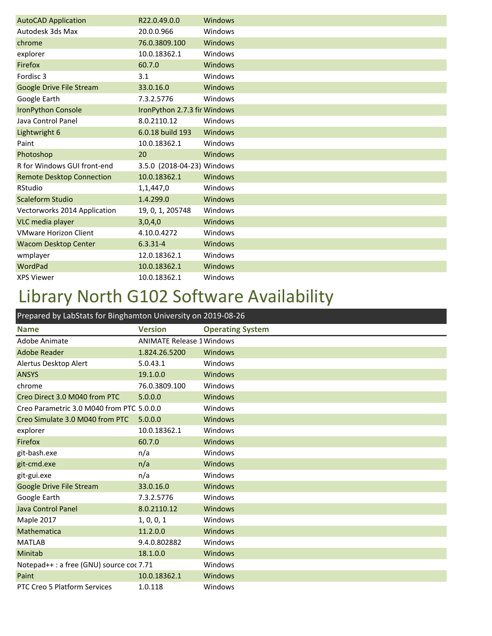| <b>AutoCAD Application</b>       | R22.0.49.0.0                 | Windows |
|----------------------------------|------------------------------|---------|
| Autodesk 3ds Max                 | 20.0.0.966                   | Windows |
| chrome                           | 76.0.3809.100                | Windows |
| explorer                         | 10.0.18362.1                 | Windows |
| Firefox                          | 60.7.0                       | Windows |
| Fordisc 3                        | 3.1                          | Windows |
| Google Drive File Stream         | 33.0.16.0                    | Windows |
| Google Earth                     | 7.3.2.5776                   | Windows |
| <b>IronPython Console</b>        | IronPython 2.7.3 fir Windows |         |
| Java Control Panel               | 8.0.2110.12                  | Windows |
| Lightwright 6                    | 6.0.18 build 193             | Windows |
| Paint                            | 10.0.18362.1                 | Windows |
| Photoshop                        | 20                           | Windows |
| R for Windows GUI front-end      | 3.5.0 (2018-04-23) Windows   |         |
| <b>Remote Desktop Connection</b> | 10.0.18362.1                 | Windows |
| RStudio                          | 1,1,447,0                    | Windows |
| Scaleform Studio                 | 1.4.299.0                    | Windows |
| Vectorworks 2014 Application     | 19, 0, 1, 205748             | Windows |
| VLC media player                 | 3,0,4,0                      | Windows |
| <b>VMware Horizon Client</b>     | 4.10.0.4272                  | Windows |
| <b>Wacom Desktop Center</b>      | $6.3.31 - 4$                 | Windows |
| wmplayer                         | 12.0.18362.1                 | Windows |
| WordPad                          | 10.0.18362.1                 | Windows |
| <b>XPS Viewer</b>                | 10.0.18362.1                 | Windows |

## Library North G102 Software Availability

| Prepared by LabStats for Binghamton University on 2019-08-26 |                                  |                         |
|--------------------------------------------------------------|----------------------------------|-------------------------|
| <b>Name</b>                                                  | <b>Version</b>                   | <b>Operating System</b> |
| Adobe Animate                                                | <b>ANIMATE Release 1 Windows</b> |                         |
| <b>Adobe Reader</b>                                          | 1.824.26.5200                    | Windows                 |
| Alertus Desktop Alert                                        | 5.0.43.1                         | Windows                 |
| <b>ANSYS</b>                                                 | 19.1.0.0                         | Windows                 |
| chrome                                                       | 76.0.3809.100                    | Windows                 |
| Creo Direct 3.0 M040 from PTC                                | 5.0.0.0                          | <b>Windows</b>          |
| Creo Parametric 3.0 M040 from PTC 5.0.0.0                    |                                  | Windows                 |
| Creo Simulate 3.0 M040 from PTC                              | 5.0.0.0                          | <b>Windows</b>          |
| explorer                                                     | 10.0.18362.1                     | Windows                 |
| Firefox                                                      | 60.7.0                           | <b>Windows</b>          |
| git-bash.exe                                                 | n/a                              | Windows                 |
| git-cmd.exe                                                  | n/a                              | Windows                 |
| git-gui.exe                                                  | n/a                              | Windows                 |
| <b>Google Drive File Stream</b>                              | 33.0.16.0                        | Windows                 |
| Google Earth                                                 | 7.3.2.5776                       | Windows                 |
| Java Control Panel                                           | 8.0.2110.12                      | Windows                 |
| Maple 2017                                                   | 1, 0, 0, 1                       | Windows                 |
| Mathematica                                                  | 11.2.0.0                         | Windows                 |
| <b>MATLAB</b>                                                | 9.4.0.802882                     | Windows                 |
| Minitab                                                      | 18.1.0.0                         | <b>Windows</b>          |
| Notepad++ : a free (GNU) source coc 7.71                     |                                  | Windows                 |
| Paint                                                        | 10.0.18362.1                     | <b>Windows</b>          |
| PTC Creo 5 Platform Services                                 | 1.0.118                          | Windows                 |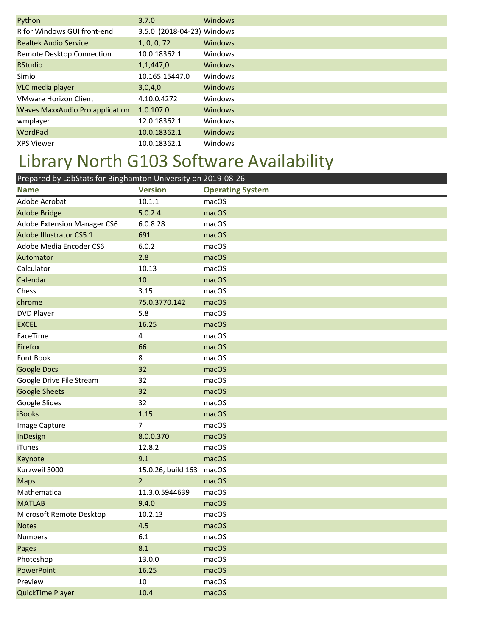| Python                                 | 3.7.0                      | Windows        |
|----------------------------------------|----------------------------|----------------|
| R for Windows GUI front-end            | 3.5.0 (2018-04-23) Windows |                |
| <b>Realtek Audio Service</b>           | 1, 0, 0, 72                | Windows        |
| Remote Desktop Connection              | 10.0.18362.1               | Windows        |
| <b>RStudio</b>                         | 1,1,447,0                  | <b>Windows</b> |
| Simio                                  | 10.165.15447.0             | Windows        |
| VLC media player                       | 3,0,4,0                    | <b>Windows</b> |
| <b>VMware Horizon Client</b>           | 4.10.0.4272                | Windows        |
| <b>Waves MaxxAudio Pro application</b> | 1.0.107.0                  | <b>Windows</b> |
| wmplayer                               | 12.0.18362.1               | Windows        |
| WordPad                                | 10.0.18362.1               | <b>Windows</b> |
| <b>XPS Viewer</b>                      | 10.0.18362.1               | Windows        |

# Library North G103 Software Availability

| Prepared by LabStats for Binghamton University on 2019-08-26 |                    |                         |
|--------------------------------------------------------------|--------------------|-------------------------|
| <b>Name</b>                                                  | <b>Version</b>     | <b>Operating System</b> |
| Adobe Acrobat                                                | 10.1.1             | macOS                   |
| <b>Adobe Bridge</b>                                          | 5.0.2.4            | macOS                   |
| Adobe Extension Manager CS6                                  | 6.0.8.28           | macOS                   |
| Adobe Illustrator CS5.1                                      | 691                | macOS                   |
| Adobe Media Encoder CS6                                      | 6.0.2              | macOS                   |
| Automator                                                    | 2.8                | macOS                   |
| Calculator                                                   | 10.13              | macOS                   |
| Calendar                                                     | 10                 | macOS                   |
| Chess                                                        | 3.15               | macOS                   |
| chrome                                                       | 75.0.3770.142      | macOS                   |
| <b>DVD Player</b>                                            | 5.8                | macOS                   |
| <b>EXCEL</b>                                                 | 16.25              | macOS                   |
| FaceTime                                                     | 4                  | macOS                   |
| Firefox                                                      | 66                 | macOS                   |
| Font Book                                                    | 8                  | macOS                   |
| <b>Google Docs</b>                                           | 32                 | macOS                   |
| Google Drive File Stream                                     | 32                 | macOS                   |
| <b>Google Sheets</b>                                         | 32                 | macOS                   |
| Google Slides                                                | 32                 | macOS                   |
| <b>iBooks</b>                                                | 1.15               | macOS                   |
| Image Capture                                                | 7                  | macOS                   |
| InDesign                                                     | 8.0.0.370          | macOS                   |
| iTunes                                                       | 12.8.2             | macOS                   |
| Keynote                                                      | 9.1                | macOS                   |
| Kurzweil 3000                                                | 15.0.26, build 163 | macOS                   |
| <b>Maps</b>                                                  | $\overline{2}$     | macOS                   |
| Mathematica                                                  | 11.3.0.5944639     | macOS                   |
| <b>MATLAB</b>                                                | 9.4.0              | macOS                   |
| Microsoft Remote Desktop                                     | 10.2.13            | macOS                   |
| <b>Notes</b>                                                 | 4.5                | macOS                   |
| Numbers                                                      | 6.1                | macOS                   |
| Pages                                                        | 8.1                | macOS                   |
| Photoshop                                                    | 13.0.0             | macOS                   |
| PowerPoint                                                   | 16.25              | macOS                   |
| Preview                                                      | 10                 | macOS                   |
| QuickTime Player                                             | 10.4               | macOS                   |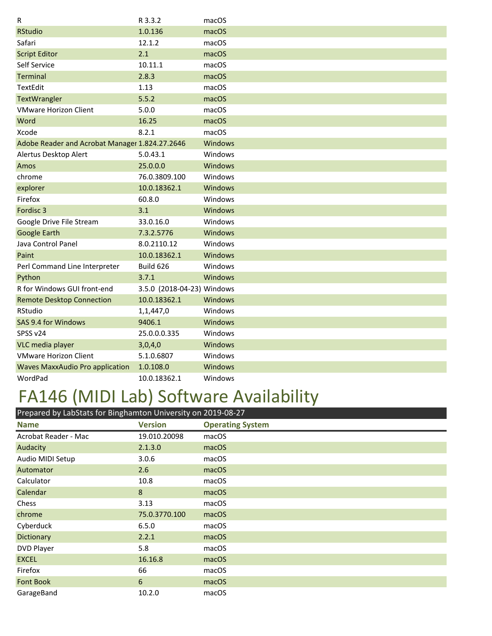| R                                              | R 3.3.2                    | macOS          |
|------------------------------------------------|----------------------------|----------------|
| <b>RStudio</b>                                 | 1.0.136                    | macOS          |
| Safari                                         | 12.1.2                     | macOS          |
| <b>Script Editor</b>                           | 2.1                        | macOS          |
| Self Service                                   | 10.11.1                    | macOS          |
| <b>Terminal</b>                                | 2.8.3                      | macOS          |
| <b>TextEdit</b>                                | 1.13                       | macOS          |
| TextWrangler                                   | 5.5.2                      | macOS          |
| <b>VMware Horizon Client</b>                   | 5.0.0                      | macOS          |
| Word                                           | 16.25                      | macOS          |
| Xcode                                          | 8.2.1                      | macOS          |
| Adobe Reader and Acrobat Manager 1.824.27.2646 |                            | <b>Windows</b> |
| Alertus Desktop Alert                          | 5.0.43.1                   | Windows        |
| Amos                                           | 25.0.0.0                   | <b>Windows</b> |
| chrome                                         | 76.0.3809.100              | Windows        |
| explorer                                       | 10.0.18362.1               | <b>Windows</b> |
| Firefox                                        | 60.8.0                     | Windows        |
| Fordisc 3                                      | 3.1                        | <b>Windows</b> |
| Google Drive File Stream                       | 33.0.16.0                  | Windows        |
| <b>Google Earth</b>                            | 7.3.2.5776                 | Windows        |
| Java Control Panel                             | 8.0.2110.12                | Windows        |
| Paint                                          | 10.0.18362.1               | <b>Windows</b> |
| Perl Command Line Interpreter                  | Build 626                  | Windows        |
| Python                                         | 3.7.1                      | Windows        |
| R for Windows GUI front-end                    | 3.5.0 (2018-04-23) Windows |                |
| <b>Remote Desktop Connection</b>               | 10.0.18362.1               | <b>Windows</b> |
| RStudio                                        | 1,1,447,0                  | Windows        |
| SAS 9.4 for Windows                            | 9406.1                     | <b>Windows</b> |
| SPSS v24                                       | 25.0.0.0.335               | Windows        |
| VLC media player                               | 3,0,4,0                    | <b>Windows</b> |
| <b>VMware Horizon Client</b>                   | 5.1.0.6807                 | Windows        |
| <b>Waves MaxxAudio Pro application</b>         | 1.0.108.0                  | Windows        |
| WordPad                                        | 10.0.18362.1               | Windows        |

# FA146 (MIDI Lab) Software Availability

| Prepared by LabStats for Binghamton University on 2019-08-27 |                |                         |  |
|--------------------------------------------------------------|----------------|-------------------------|--|
| <b>Name</b>                                                  | <b>Version</b> | <b>Operating System</b> |  |
| Acrobat Reader - Mac                                         | 19.010.20098   | macOS                   |  |
| Audacity                                                     | 2.1.3.0        | macOS                   |  |
| Audio MIDI Setup                                             | 3.0.6          | macOS                   |  |
| Automator                                                    | 2.6            | macOS                   |  |
| Calculator                                                   | 10.8           | macOS                   |  |
| Calendar                                                     | 8              | macOS                   |  |
| Chess                                                        | 3.13           | macOS                   |  |
| chrome                                                       | 75.0.3770.100  | macOS                   |  |
| Cyberduck                                                    | 6.5.0          | macOS                   |  |
| Dictionary                                                   | 2.2.1          | macOS                   |  |
| DVD Player                                                   | 5.8            | macOS                   |  |
| <b>EXCEL</b>                                                 | 16.16.8        | macOS                   |  |
| Firefox                                                      | 66             | macOS                   |  |
| <b>Font Book</b>                                             | 6              | macOS                   |  |
| GarageBand                                                   | 10.2.0         | macOS                   |  |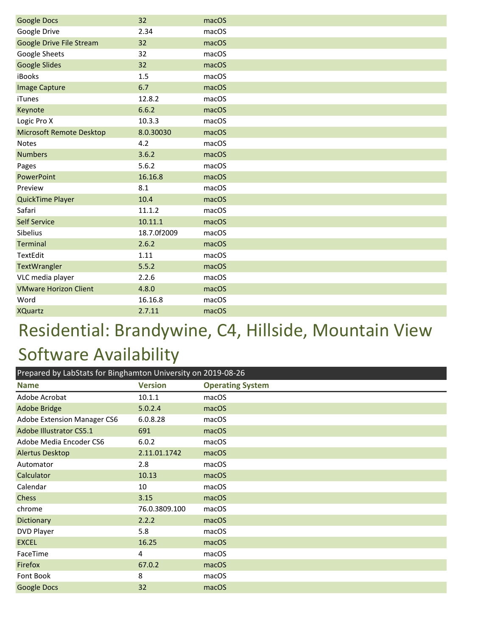| <b>Google Docs</b>              | 32          | macOS |
|---------------------------------|-------------|-------|
| Google Drive                    | 2.34        | macOS |
| Google Drive File Stream        | 32          | macOS |
| Google Sheets                   | 32          | macOS |
| <b>Google Slides</b>            | 32          | macOS |
| iBooks                          | 1.5         | macOS |
| <b>Image Capture</b>            | 6.7         | macOS |
| <b>iTunes</b>                   | 12.8.2      | macOS |
| Keynote                         | 6.6.2       | macOS |
| Logic Pro X                     | 10.3.3      | macOS |
| <b>Microsoft Remote Desktop</b> | 8.0.30030   | macOS |
| <b>Notes</b>                    | 4.2         | macOS |
| <b>Numbers</b>                  | 3.6.2       | macOS |
| Pages                           | 5.6.2       | macOS |
| PowerPoint                      | 16.16.8     | macOS |
| Preview                         | 8.1         | macOS |
| QuickTime Player                | 10.4        | macOS |
| Safari                          | 11.1.2      | macOS |
| <b>Self Service</b>             | 10.11.1     | macOS |
| Sibelius                        | 18.7.0f2009 | macOS |
| Terminal                        | 2.6.2       | macOS |
| TextEdit                        | 1.11        | macOS |
| TextWrangler                    | 5.5.2       | macOS |
| VLC media player                | 2.2.6       | macOS |
| <b>VMware Horizon Client</b>    | 4.8.0       | macOS |
| Word                            | 16.16.8     | macOS |
| <b>XQuartz</b>                  | 2.7.11      | macOS |

# Residential: Brandywine, C4, Hillside, Mountain View Software Availability

| Prepared by LabStats for Binghamton University on 2019-08-26 |                |                         |
|--------------------------------------------------------------|----------------|-------------------------|
| <b>Name</b>                                                  | <b>Version</b> | <b>Operating System</b> |
| Adobe Acrobat                                                | 10.1.1         | macOS                   |
| <b>Adobe Bridge</b>                                          | 5.0.2.4        | macOS                   |
| Adobe Extension Manager CS6                                  | 6.0.8.28       | macOS                   |
| Adobe Illustrator CS5.1                                      | 691            | macOS                   |
| Adobe Media Encoder CS6                                      | 6.0.2          | macOS                   |
| <b>Alertus Desktop</b>                                       | 2.11.01.1742   | macOS                   |
| Automator                                                    | 2.8            | macOS                   |
| Calculator                                                   | 10.13          | macOS                   |
| Calendar                                                     | 10             | macOS                   |
| <b>Chess</b>                                                 | 3.15           | macOS                   |
| chrome                                                       | 76.0.3809.100  | macOS                   |
| Dictionary                                                   | 2.2.2          | macOS                   |
| DVD Player                                                   | 5.8            | macOS                   |
| <b>EXCEL</b>                                                 | 16.25          | macOS                   |
| FaceTime                                                     | 4              | macOS                   |
| Firefox                                                      | 67.0.2         | macOS                   |
| Font Book                                                    | 8              | macOS                   |
| <b>Google Docs</b>                                           | 32             | macOS                   |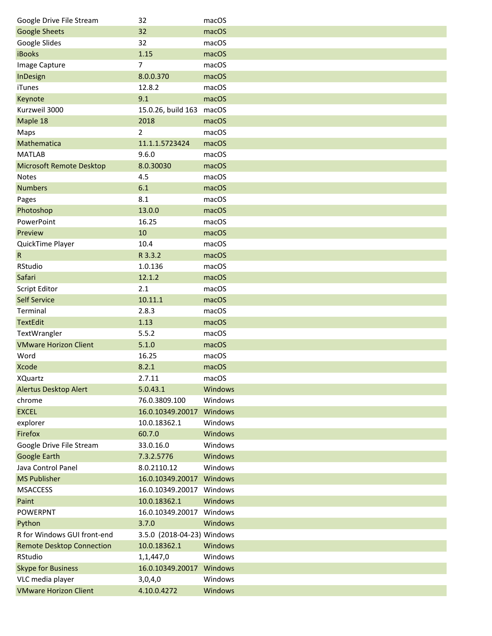| Google Drive File Stream         | 32                         | macOS   |
|----------------------------------|----------------------------|---------|
| <b>Google Sheets</b>             | 32                         | macOS   |
| Google Slides                    | 32                         | macOS   |
| <b>iBooks</b>                    | 1.15                       | macOS   |
| Image Capture                    | 7                          | macOS   |
| InDesign                         | 8.0.0.370                  | macOS   |
| iTunes                           | 12.8.2                     | macOS   |
| Keynote                          | 9.1                        | macOS   |
| Kurzweil 3000                    | 15.0.26, build 163 macOS   |         |
| Maple 18                         | 2018                       | macOS   |
| Maps                             | 2                          | macOS   |
| Mathematica                      | 11.1.1.5723424             | macOS   |
| <b>MATLAB</b>                    | 9.6.0                      | macOS   |
| <b>Microsoft Remote Desktop</b>  | 8.0.30030                  | macOS   |
| <b>Notes</b>                     | 4.5                        | macOS   |
| <b>Numbers</b>                   | 6.1                        | macOS   |
| Pages                            | 8.1                        | macOS   |
| Photoshop                        | 13.0.0                     | macOS   |
| PowerPoint                       | 16.25                      | macOS   |
| Preview                          | 10                         | macOS   |
| QuickTime Player                 | 10.4                       | macOS   |
| $\mathsf{R}$                     | R 3.3.2                    | macOS   |
| RStudio                          | 1.0.136                    | macOS   |
| Safari                           | 12.1.2                     | macOS   |
| <b>Script Editor</b>             | 2.1                        | macOS   |
| <b>Self Service</b>              | 10.11.1                    | macOS   |
| Terminal                         | 2.8.3                      | macOS   |
| <b>TextEdit</b>                  | 1.13                       | macOS   |
| TextWrangler                     | 5.5.2                      | macOS   |
| <b>VMware Horizon Client</b>     | 5.1.0                      | macOS   |
| Word                             | 16.25                      | macOS   |
| <b>Xcode</b>                     | 8.2.1                      | macOS   |
| XQuartz                          | 2.7.11                     | macOS   |
| <b>Alertus Desktop Alert</b>     | 5.0.43.1                   | Windows |
| chrome                           | 76.0.3809.100              | Windows |
| <b>EXCEL</b>                     | 16.0.10349.20017           | Windows |
| explorer                         | 10.0.18362.1               | Windows |
| Firefox                          | 60.7.0                     | Windows |
| Google Drive File Stream         | 33.0.16.0                  | Windows |
| Google Earth                     | 7.3.2.5776                 | Windows |
| Java Control Panel               | 8.0.2110.12                | Windows |
| <b>MS Publisher</b>              | 16.0.10349.20017 Windows   |         |
| <b>MSACCESS</b>                  | 16.0.10349.20017 Windows   |         |
| Paint                            | 10.0.18362.1               | Windows |
| <b>POWERPNT</b>                  | 16.0.10349.20017 Windows   |         |
| Python                           | 3.7.0                      | Windows |
| R for Windows GUI front-end      | 3.5.0 (2018-04-23) Windows |         |
| <b>Remote Desktop Connection</b> | 10.0.18362.1               | Windows |
| RStudio                          | 1,1,447,0                  | Windows |
| <b>Skype for Business</b>        | 16.0.10349.20017           | Windows |
| VLC media player                 | 3,0,4,0                    | Windows |
| <b>VMware Horizon Client</b>     | 4.10.0.4272                | Windows |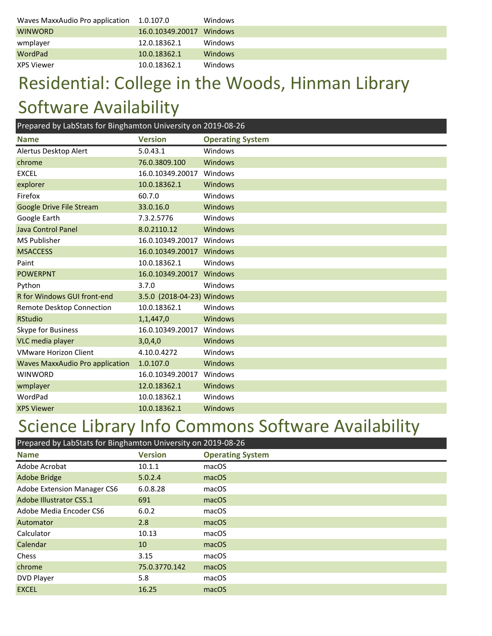| Waves MaxxAudio Pro application | 1.0.107.0        | Windows        |
|---------------------------------|------------------|----------------|
| <b>WINWORD</b>                  | 16.0.10349.20017 | <b>Windows</b> |
| wmplayer                        | 12.0.18362.1     | Windows        |
| <b>WordPad</b>                  | 10.0.18362.1     | <b>Windows</b> |
| <b>XPS Viewer</b>               | 10.0.18362.1     | Windows        |

## Residential: College in the Woods, Hinman Library Software Availability

| Prepared by LabStats for Binghamton University on 2019-08-26 |                            |                         |
|--------------------------------------------------------------|----------------------------|-------------------------|
| <b>Name</b>                                                  | <b>Version</b>             | <b>Operating System</b> |
| Alertus Desktop Alert                                        | 5.0.43.1                   | Windows                 |
| chrome                                                       | 76.0.3809.100              | Windows                 |
| <b>EXCEL</b>                                                 | 16.0.10349.20017           | Windows                 |
| explorer                                                     | 10.0.18362.1               | Windows                 |
| Firefox                                                      | 60.7.0                     | Windows                 |
| <b>Google Drive File Stream</b>                              | 33.0.16.0                  | Windows                 |
| Google Earth                                                 | 7.3.2.5776                 | Windows                 |
| <b>Java Control Panel</b>                                    | 8.0.2110.12                | Windows                 |
| <b>MS Publisher</b>                                          | 16.0.10349.20017           | Windows                 |
| <b>MSACCESS</b>                                              | 16.0.10349.20017           | Windows                 |
| Paint                                                        | 10.0.18362.1               | Windows                 |
| <b>POWERPNT</b>                                              | 16.0.10349.20017           | Windows                 |
| Python                                                       | 3.7.0                      | Windows                 |
| R for Windows GUI front-end                                  | 3.5.0 (2018-04-23) Windows |                         |
| Remote Desktop Connection                                    | 10.0.18362.1               | Windows                 |
| <b>RStudio</b>                                               | 1,1,447,0                  | Windows                 |
| Skype for Business                                           | 16.0.10349.20017           | Windows                 |
| VLC media player                                             | 3,0,4,0                    | Windows                 |
| <b>VMware Horizon Client</b>                                 | 4.10.0.4272                | Windows                 |
| <b>Waves MaxxAudio Pro application</b>                       | 1.0.107.0                  | Windows                 |
| <b>WINWORD</b>                                               | 16.0.10349.20017           | Windows                 |
| wmplayer                                                     | 12.0.18362.1               | Windows                 |
| WordPad                                                      | 10.0.18362.1               | Windows                 |
| <b>XPS Viewer</b>                                            | 10.0.18362.1               | Windows                 |

#### Science Library Info Commons Software Availability

| Prepared by LabStats for Binghamton University on 2019-08-26 |                |                         |
|--------------------------------------------------------------|----------------|-------------------------|
| <b>Name</b>                                                  | <b>Version</b> | <b>Operating System</b> |
| Adobe Acrobat                                                | 10.1.1         | macOS                   |
| <b>Adobe Bridge</b>                                          | 5.0.2.4        | macOS                   |
| Adobe Extension Manager CS6                                  | 6.0.8.28       | macOS                   |
| <b>Adobe Illustrator CS5.1</b>                               | 691            | macOS                   |
| Adobe Media Encoder CS6                                      | 6.0.2          | macOS                   |
| Automator                                                    | 2.8            | macOS                   |
| Calculator                                                   | 10.13          | macOS                   |
| Calendar                                                     | 10             | macOS                   |
| Chess                                                        | 3.15           | macOS                   |
| chrome                                                       | 75.0.3770.142  | macOS                   |
| DVD Player                                                   | 5.8            | macOS                   |
| <b>EXCEL</b>                                                 | 16.25          | macOS                   |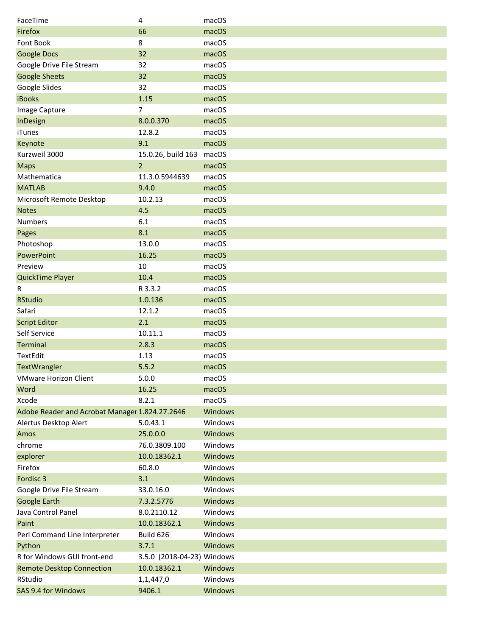| FaceTime                                       | 4                          | macOS   |
|------------------------------------------------|----------------------------|---------|
| Firefox                                        | 66                         | macOS   |
| Font Book                                      | 8                          | macOS   |
| <b>Google Docs</b>                             | 32                         | macOS   |
| Google Drive File Stream                       | 32                         | macOS   |
| <b>Google Sheets</b>                           | 32                         | macOS   |
| Google Slides                                  | 32                         | macOS   |
| <b>iBooks</b>                                  | 1.15                       | macOS   |
| Image Capture                                  | 7                          | macOS   |
| InDesign                                       | 8.0.0.370                  | macOS   |
| iTunes                                         | 12.8.2                     | macOS   |
| Keynote                                        | 9.1                        | macOS   |
| Kurzweil 3000                                  | 15.0.26, build 163         | macOS   |
| <b>Maps</b>                                    | $\overline{2}$             | macOS   |
| Mathematica                                    | 11.3.0.5944639             | macOS   |
| <b>MATLAB</b>                                  | 9.4.0                      | macOS   |
| Microsoft Remote Desktop                       | 10.2.13                    | macOS   |
| <b>Notes</b>                                   | 4.5                        | macOS   |
| <b>Numbers</b>                                 | 6.1                        | macOS   |
| Pages                                          | 8.1                        | macOS   |
| Photoshop                                      | 13.0.0                     | macOS   |
| PowerPoint                                     | 16.25                      | macOS   |
| Preview                                        | 10                         | macOS   |
| QuickTime Player                               | 10.4                       | macOS   |
| R                                              | R 3.3.2                    | macOS   |
| <b>RStudio</b>                                 | 1.0.136                    | macOS   |
| Safari                                         | 12.1.2                     | macOS   |
| <b>Script Editor</b>                           | 2.1                        | macOS   |
| Self Service                                   | 10.11.1                    | macOS   |
| <b>Terminal</b>                                | 2.8.3                      | macOS   |
| TextEdit                                       | 1.13                       | macOS   |
| TextWrangler                                   | 5.5.2                      | macOS   |
| <b>VMware Horizon Client</b>                   | 5.0.0                      | macOS   |
| Word                                           | 16.25                      | macOS   |
| Xcode                                          | 8.2.1                      | macOS   |
| Adobe Reader and Acrobat Manager 1.824.27.2646 |                            | Windows |
| Alertus Desktop Alert                          | 5.0.43.1                   | Windows |
| Amos                                           | 25.0.0.0                   | Windows |
| chrome                                         | 76.0.3809.100              | Windows |
| explorer                                       | 10.0.18362.1               | Windows |
| Firefox                                        | 60.8.0                     | Windows |
| Fordisc 3                                      | 3.1                        | Windows |
| Google Drive File Stream                       | 33.0.16.0                  | Windows |
| <b>Google Earth</b>                            | 7.3.2.5776                 | Windows |
| Java Control Panel                             | 8.0.2110.12                | Windows |
| Paint                                          | 10.0.18362.1               | Windows |
| Perl Command Line Interpreter                  | Build 626                  | Windows |
| Python                                         | 3.7.1                      | Windows |
| R for Windows GUI front-end                    | 3.5.0 (2018-04-23) Windows |         |
| <b>Remote Desktop Connection</b>               | 10.0.18362.1               | Windows |
| RStudio                                        | 1,1,447,0                  | Windows |
| SAS 9.4 for Windows                            | 9406.1                     | Windows |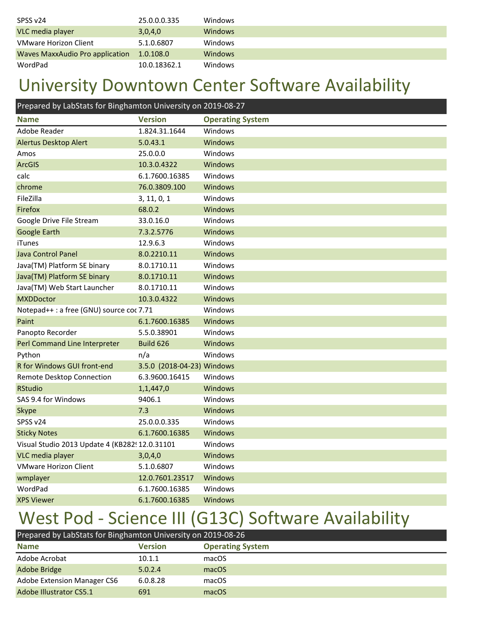| SPSS v24                        | 25.0.0.0.335 | Windows        |
|---------------------------------|--------------|----------------|
| VLC media player                | 3,0,4,0      | <b>Windows</b> |
| <b>VMware Horizon Client</b>    | 5.1.0.6807   | Windows        |
| Waves MaxxAudio Pro application | 1.0.108.0    | <b>Windows</b> |
| WordPad                         | 10.0.18362.1 | <b>Windows</b> |

#### University Downtown Center Software Availability

| Prepared by LabStats for Binghamton University on 2019-08-27 |                            |                         |
|--------------------------------------------------------------|----------------------------|-------------------------|
| <b>Name</b>                                                  | <b>Version</b>             | <b>Operating System</b> |
| Adobe Reader                                                 | 1.824.31.1644              | Windows                 |
| <b>Alertus Desktop Alert</b>                                 | 5.0.43.1                   | Windows                 |
| Amos                                                         | 25.0.0.0                   | Windows                 |
| <b>ArcGIS</b>                                                | 10.3.0.4322                | Windows                 |
| calc                                                         | 6.1.7600.16385             | Windows                 |
| chrome                                                       | 76.0.3809.100              | Windows                 |
| FileZilla                                                    | 3, 11, 0, 1                | Windows                 |
| Firefox                                                      | 68.0.2                     | Windows                 |
| Google Drive File Stream                                     | 33.0.16.0                  | Windows                 |
| <b>Google Earth</b>                                          | 7.3.2.5776                 | Windows                 |
| iTunes                                                       | 12.9.6.3                   | Windows                 |
| Java Control Panel                                           | 8.0.2210.11                | Windows                 |
| Java(TM) Platform SE binary                                  | 8.0.1710.11                | Windows                 |
| Java(TM) Platform SE binary                                  | 8.0.1710.11                | Windows                 |
| Java(TM) Web Start Launcher                                  | 8.0.1710.11                | Windows                 |
| <b>MXDDoctor</b>                                             | 10.3.0.4322                | Windows                 |
| Notepad++: a free (GNU) source coc 7.71                      |                            | Windows                 |
| Paint                                                        | 6.1.7600.16385             | Windows                 |
| Panopto Recorder                                             | 5.5.0.38901                | Windows                 |
| Perl Command Line Interpreter                                | Build 626                  | <b>Windows</b>          |
| Python                                                       | n/a                        | Windows                 |
| R for Windows GUI front-end                                  | 3.5.0 (2018-04-23) Windows |                         |
| Remote Desktop Connection                                    | 6.3.9600.16415             | Windows                 |
| <b>RStudio</b>                                               | 1,1,447,0                  | Windows                 |
| SAS 9.4 for Windows                                          | 9406.1                     | Windows                 |
| Skype                                                        | 7.3                        | Windows                 |
| SPSS v24                                                     | 25.0.0.0.335               | Windows                 |
| <b>Sticky Notes</b>                                          | 6.1.7600.16385             | Windows                 |
| Visual Studio 2013 Update 4 (KB282! 12.0.31101               |                            | Windows                 |
| VLC media player                                             | 3,0,4,0                    | Windows                 |
| <b>VMware Horizon Client</b>                                 | 5.1.0.6807                 | Windows                 |
| wmplayer                                                     | 12.0.7601.23517            | Windows                 |
| WordPad                                                      | 6.1.7600.16385             | Windows                 |
| <b>XPS Viewer</b>                                            | 6.1.7600.16385             | Windows                 |

## West Pod - Science III (G13C) Software Availability

| Prepared by LabStats for Binghamton University on 2019-08-26 |                |                         |  |
|--------------------------------------------------------------|----------------|-------------------------|--|
| <b>Name</b>                                                  | <b>Version</b> | <b>Operating System</b> |  |
| Adobe Acrobat                                                | 10.1.1         | macOS                   |  |
| Adobe Bridge                                                 | 5.0.2.4        | macOS                   |  |
| Adobe Extension Manager CS6                                  | 6.0.8.28       | macOS                   |  |
| Adobe Illustrator CS5.1                                      | 691            | macOS                   |  |